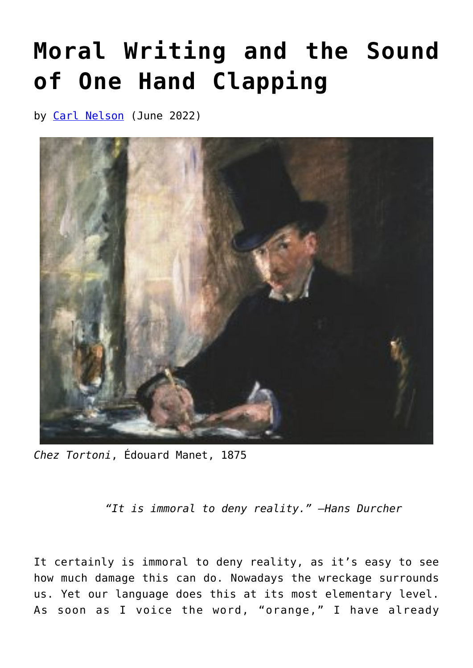## **[Moral Writing and the Sound](https://www.newenglishreview.org/articles/moral-writing-and-the-sound-of-one-hand-clapping/) [of One Hand Clapping](https://www.newenglishreview.org/articles/moral-writing-and-the-sound-of-one-hand-clapping/)**

by [Carl Nelson](https://www.newenglishreview.org/authors/carl-nelson/) (June 2022)



*Chez Tortoni*, Édouard Manet, 1875

*"It is immoral to deny reality." —Hans Durcher*

It certainly is immoral to deny reality, as it's easy to see how much damage this can do. Nowadays the wreckage surrounds us. Yet our language does this at its most elementary level. As soon as I voice the word, "orange," I have already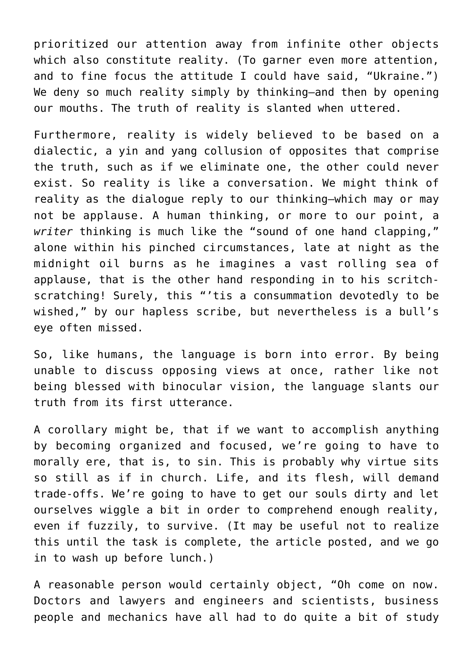prioritized our attention away from infinite other objects which also constitute reality. (To garner even more attention, and to fine focus the attitude I could have said, "Ukraine.") We deny so much reality simply by thinking-and then by opening our mouths. The truth of reality is slanted when uttered.

Furthermore, reality is widely believed to be based on a dialectic, a yin and yang collusion of opposites that comprise the truth, such as if we eliminate one, the other could never exist. So reality is like a conversation. We might think of reality as the dialogue reply to our thinking—which may or may not be applause. A human thinking, or more to our point, a *writer* thinking is much like the "sound of one hand clapping," alone within his pinched circumstances, late at night as the midnight oil burns as he imagines a vast rolling sea of applause, that is the other hand responding in to his scritchscratching! Surely, this "'tis a consummation devotedly to be wished," by our hapless scribe, but nevertheless is a bull's eye often missed.

So, like humans, the language is born into error. By being unable to discuss opposing views at once, rather like not being blessed with binocular vision, the language slants our truth from its first utterance.

A corollary might be, that if we want to accomplish anything by becoming organized and focused, we're going to have to morally ere, that is, to sin. This is probably why virtue sits so still as if in church. Life, and its flesh, will demand trade-offs. We're going to have to get our souls dirty and let ourselves wiggle a bit in order to comprehend enough reality, even if fuzzily, to survive. (It may be useful not to realize this until the task is complete, the article posted, and we go in to wash up before lunch.)

A reasonable person would certainly object, "Oh come on now. Doctors and lawyers and engineers and scientists, business people and mechanics have all had to do quite a bit of study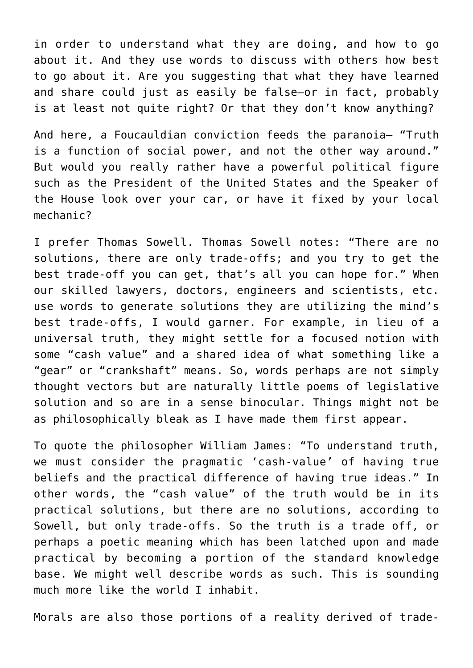in order to understand what they are doing, and how to go about it. And they use words to discuss with others how best to go about it. Are you suggesting that what they have learned and share could just as easily be false—or in fact, probably is at least not quite right? Or that they don't know anything?

And here, a Foucauldian conviction feeds the paranoia— "Truth is a function of social power, and not the other way around." But would you really rather have a powerful political figure such as the President of the United States and the Speaker of the House look over your car, or have it fixed by your local mechanic?

I prefer Thomas Sowell. Thomas Sowell notes: "There are no solutions, there are only trade-offs; and you try to get the best trade-off you can get, that's all you can hope for." When our skilled lawyers, doctors, engineers and scientists, etc. use words to generate solutions they are utilizing the mind's best trade-offs, I would garner. For example, in lieu of a universal truth, they might settle for a focused notion with some "cash value" and a shared idea of what something like a "gear" or "crankshaft" means. So, words perhaps are not simply thought vectors but are naturally little poems of legislative solution and so are in a sense binocular. Things might not be as philosophically bleak as I have made them first appear.

To quote the philosopher William James: "To understand truth, we must consider the pragmatic 'cash-value' of having true beliefs and the practical difference of having true ideas." In other words, the "cash value" of the truth would be in its practical solutions, but there are no solutions, according to Sowell, but only trade-offs. So the truth is a trade off, or perhaps a poetic meaning which has been latched upon and made practical by becoming a portion of the standard knowledge base. We might well describe words as such. This is sounding much more like the world I inhabit.

Morals are also those portions of a reality derived of trade-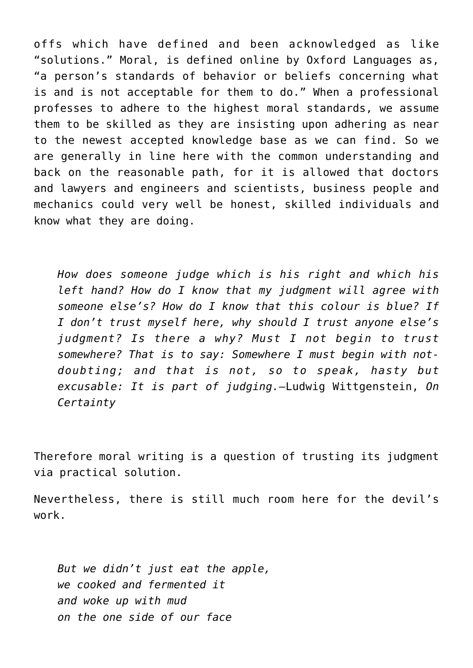offs which have defined and been acknowledged as like "solutions." Moral, is defined online by Oxford Languages as, "a person's standards of behavior or beliefs concerning what is and is not acceptable for them to do." When a professional professes to adhere to the highest moral standards, we assume them to be skilled as they are insisting upon adhering as near to the newest accepted knowledge base as we can find. So we are generally in line here with the common understanding and back on the reasonable path, for it is allowed that doctors and lawyers and engineers and scientists, business people and mechanics could very well be honest, skilled individuals and know what they are doing.

*How does someone judge which is his right and which his left hand? How do I know that my judgment will agree with someone else's? How do I know that this colour is blue? If I don't trust myself here, why should I trust anyone else's judgment? Is there a why? Must I not begin to trust somewhere? That is to say: Somewhere I must begin with notdoubting; and that is not, so to speak, hasty but excusable: It is part of judging.—*Ludwig Wittgenstein, *On Certainty*

Therefore moral writing is a question of trusting its judgment via practical solution.

Nevertheless, there is still much room here for the devil's work.

*But we didn't just eat the apple, we cooked and fermented it and woke up with mud on the one side of our face*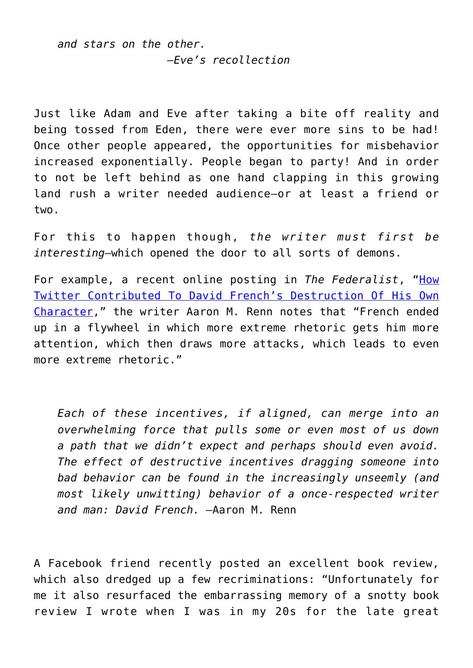*and stars on the other. —Eve's recollection*

Just like Adam and Eve after taking a bite off reality and being tossed from Eden, there were ever more sins to be had! Once other people appeared, the opportunities for misbehavior increased exponentially. People began to party! And in order to not be left behind as one hand clapping in this growing land rush a writer needed audience—or at least a friend or two.

For this to happen though, *the writer must first be interesting*—which opened the door to all sorts of demons.

For example, a recent online posting in *The Federalist*, "[How](https://click.mlsend.com/link/c/YT0xOTEwOTM4Mzg4ODY1NzUxNjk1JmM9cThnNSZlPTAmYj05NDYyNzg3MjMmZD1xMm02bzhh.6nA7he7YZOeN0_cxclKTtapi65jVwD-k1BCA82Dso7c) [Twitter Contributed To David French's Destruction Of His Own](https://click.mlsend.com/link/c/YT0xOTEwOTM4Mzg4ODY1NzUxNjk1JmM9cThnNSZlPTAmYj05NDYyNzg3MjMmZD1xMm02bzhh.6nA7he7YZOeN0_cxclKTtapi65jVwD-k1BCA82Dso7c) [Character](https://click.mlsend.com/link/c/YT0xOTEwOTM4Mzg4ODY1NzUxNjk1JmM9cThnNSZlPTAmYj05NDYyNzg3MjMmZD1xMm02bzhh.6nA7he7YZOeN0_cxclKTtapi65jVwD-k1BCA82Dso7c)," the writer Aaron M. Renn notes that "French ended up in a flywheel in which more extreme rhetoric gets him more attention, which then draws more attacks, which leads to even more extreme rhetoric."

*Each of these incentives, if aligned, can merge into an overwhelming force that pulls some or even most of us down a path that we didn't expect and perhaps should even avoid. The effect of destructive incentives dragging someone into bad behavior can be found in the increasingly unseemly (and most likely unwitting) behavior of a once-respected writer and man: David French.* —Aaron M. Renn

A Facebook friend recently posted an excellent book review, which also dredged up a few recriminations: "Unfortunately for me it also resurfaced the embarrassing memory of a snotty book review I wrote when I was in my 20s for the late great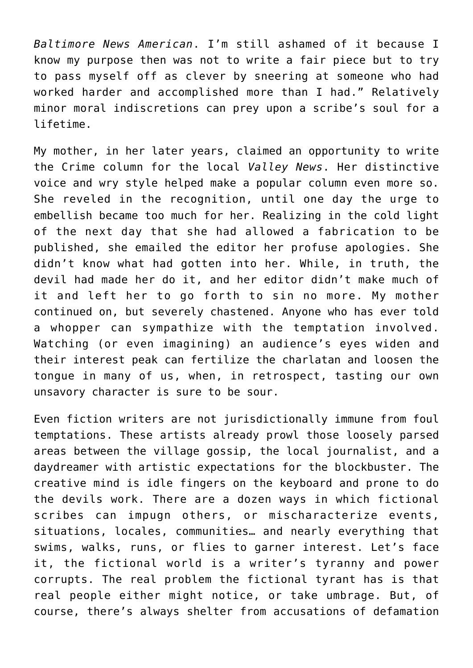*Baltimore News American*. I'm still ashamed of it because I know my purpose then was not to write a fair piece but to try to pass myself off as clever by sneering at someone who had worked harder and accomplished more than I had." Relatively minor moral indiscretions can prey upon a scribe's soul for a lifetime.

My mother, in her later years, claimed an opportunity to write the Crime column for the local *Valley News*. Her distinctive voice and wry style helped make a popular column even more so. She reveled in the recognition, until one day the urge to embellish became too much for her. Realizing in the cold light of the next day that she had allowed a fabrication to be published, she emailed the editor her profuse apologies. She didn't know what had gotten into her. While, in truth, the devil had made her do it, and her editor didn't make much of it and left her to go forth to sin no more. My mother continued on, but severely chastened. Anyone who has ever told a whopper can sympathize with the temptation involved. Watching (or even imagining) an audience's eyes widen and their interest peak can fertilize the charlatan and loosen the tongue in many of us, when, in retrospect, tasting our own unsavory character is sure to be sour.

Even fiction writers are not jurisdictionally immune from foul temptations. These artists already prowl those loosely parsed areas between the village gossip, the local journalist, and a daydreamer with artistic expectations for the blockbuster. The creative mind is idle fingers on the keyboard and prone to do the devils work. There are a dozen ways in which fictional scribes can impugn others, or mischaracterize events, situations, locales, communities… and nearly everything that swims, walks, runs, or flies to garner interest. Let's face it, the fictional world is a writer's tyranny and power corrupts. The real problem the fictional tyrant has is that real people either might notice, or take umbrage. But, of course, there's always shelter from accusations of defamation